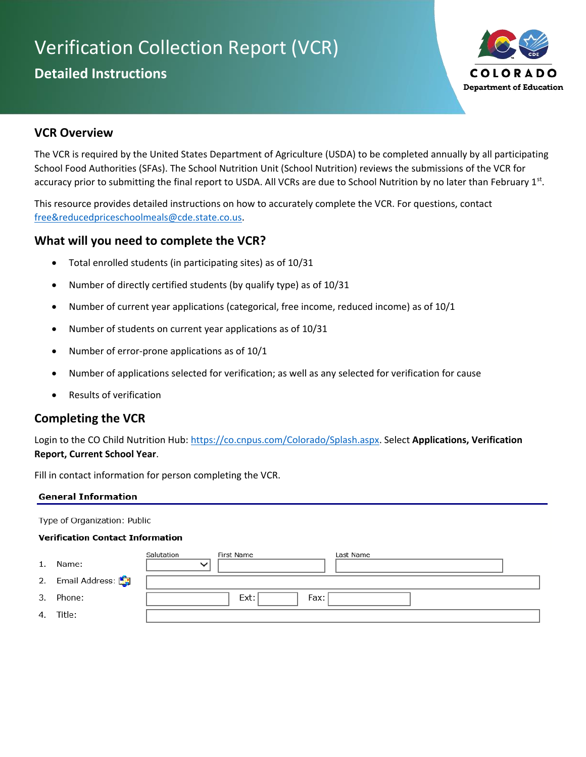# Verification Collection Report (VCR)

# **Detailed Instructions**



# **VCR Overview**

The VCR is required by the United States Department of Agriculture (USDA) to be completed annually by all participating School Food Authorities (SFAs). The School Nutrition Unit (School Nutrition) reviews the submissions of the VCR for accuracy prior to submitting the final report to USDA. All VCRs are due to School Nutrition by no later than February 1st.

This resource provides detailed instructions on how to accurately complete the VCR. For questions, contact [free&reducedpriceschoolmeals@cde.state.co.us.](mailto:free&reducedpriceschoolmeals@cde.state.co.us)

# **What will you need to complete the VCR?**

- Total enrolled students (in participating sites) as of 10/31
- Number of directly certified students (by qualify type) as of 10/31
- Number of current year applications (categorical, free income, reduced income) as of 10/1
- Number of students on current year applications as of 10/31
- Number of error-prone applications as of 10/1
- Number of applications selected for verification; as well as any selected for verification for cause
- Results of verification

# **Completing the VCR**

Login to the CO Child Nutrition Hub: https://co.cnpus.com/Colorado/Splash.aspx. Select Applications, Verification **Report, Current School Year**.

Fill in contact information for person completing the VCR.

#### **General Information**

Type of Organization: Public

#### **Verification Contact Information**

| 1. | Name:             | Salutation<br>$\checkmark$ | First Name   | Last Name |
|----|-------------------|----------------------------|--------------|-----------|
|    | 2. Email Address: |                            |              |           |
| 3. | Phone:            |                            | Ext:<br>Fax: |           |
|    | 4. Title:         |                            |              |           |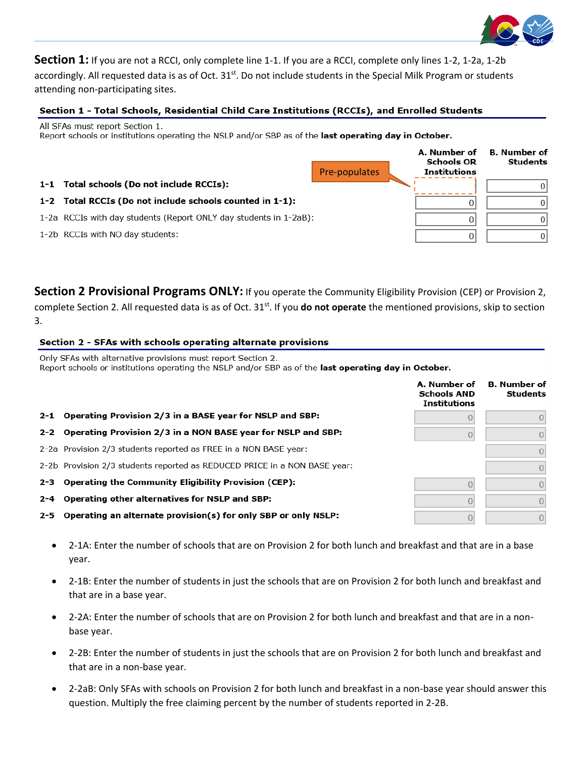

**Section 1:** If you are not a RCCI, only complete line 1-1. If you are a RCCI, complete only lines 1-2, 1-2a, 1-2b accordingly. All requested data is as of Oct. 31<sup>st</sup>. Do not include students in the Special Milk Program or students attending non-participating sites.

### Section 1 - Total Schools, Residential Child Care Institutions (RCCIs), and Enrolled Students

All SFAs must report Section 1.

Report schools or institutions operating the NSLP and/or SBP as of the last operating day in October.

|                                                                   | Pre-populates | A. Number of<br><b>Schools OR</b><br><b>Institutions</b> | <b>B.</b> Number of<br>Students |
|-------------------------------------------------------------------|---------------|----------------------------------------------------------|---------------------------------|
| 1-1 Total schools (Do not include RCCIs):                         |               |                                                          | U                               |
| 1-2 Total RCCIs (Do not include schools counted in 1-1):          |               | 0                                                        |                                 |
| 1-2a RCCIs with day students (Report ONLY day students in 1-2aB): |               | 0                                                        | U                               |
| 1-2b RCCIs with NO day students:                                  |               | 0                                                        |                                 |

**Section 2 Provisional Programs ONLY:** If you operate the Community Eligibility Provision (CEP) or Provision 2, complete Section 2. All requested data is as of Oct. 31<sup>st</sup>. If you **do not operate** the mentioned provisions, skip to section 3.

#### Section 2 - SFAs with schools operating alternate provisions

Only SFAs with alternative provisions must report Section 2. Report schools or institutions operating the NSLP and/or SBP as of the last operating day in October.

|                                                                           | A. Number of<br><b>Schools AND</b><br><b>Institutions</b> | <b>B.</b> Number of<br><b>Students</b> |
|---------------------------------------------------------------------------|-----------------------------------------------------------|----------------------------------------|
| 2-1 Operating Provision 2/3 in a BASE year for NSLP and SBP:              |                                                           | 0                                      |
| 2-2 Operating Provision 2/3 in a NON BASE year for NSLP and SBP:          |                                                           | $\overline{0}$                         |
| 2-2a Provision 2/3 students reported as FREE in a NON BASE year:          |                                                           |                                        |
| 2-2b Provision 2/3 students reported as REDUCED PRICE in a NON BASE year: |                                                           | $\Omega$                               |
| 2-3 Operating the Community Eligibility Provision (CEP):                  |                                                           | $\Omega$                               |
| 2-4 Operating other alternatives for NSLP and SBP:                        |                                                           |                                        |
| 2-5 Operating an alternate provision(s) for only SBP or only NSLP:        |                                                           | $\overline{0}$                         |

- 2-1A: Enter the number of schools that are on Provision 2 for both lunch and breakfast and that are in a base year.
- 2-1B: Enter the number of students in just the schools that are on Provision 2 for both lunch and breakfast and that are in a base year.
- 2-2A: Enter the number of schools that are on Provision 2 for both lunch and breakfast and that are in a nonbase year.
- 2-2B: Enter the number of students in just the schools that are on Provision 2 for both lunch and breakfast and that are in a non-base year.
- 2-2aB: Only SFAs with schools on Provision 2 for both lunch and breakfast in a non-base year should answer this question. Multiply the free claiming percent by the number of students reported in 2-2B.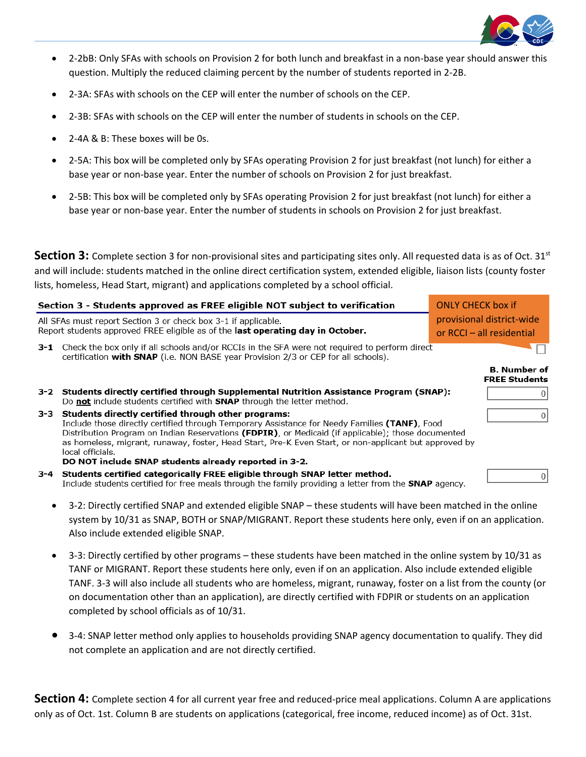

- 2-2bB: Only SFAs with schools on Provision 2 for both lunch and breakfast in a non-base year should answer this question. Multiply the reduced claiming percent by the number of students reported in 2-2B.
- 2-3A: SFAs with schools on the CEP will enter the number of schools on the CEP.
- 2-3B: SFAs with schools on the CEP will enter the number of students in schools on the CEP.
- 2-4A & B: These boxes will be 0s.
- 2-5A: This box will be completed only by SFAs operating Provision 2 for just breakfast (not lunch) for either a base year or non-base year. Enter the number of schools on Provision 2 for just breakfast.
- 2-5B: This box will be completed only by SFAs operating Provision 2 for just breakfast (not lunch) for either a base year or non-base year. Enter the number of students in schools on Provision 2 for just breakfast.

**Section 3:** Complete section 3 for non-provisional sites and participating sites only. All requested data is as of Oct. 31<sup>st</sup> and will include: students matched in the online direct certification system, extended eligible, liaison lists (county foster lists, homeless, Head Start, migrant) and applications completed by a school official.

|     | Section 3 - Students approved as FREE eligible NOT subject to verification                                                                                                                                                                                                                                                                                                              | <b>ONLY CHECK box if</b>                               |  |
|-----|-----------------------------------------------------------------------------------------------------------------------------------------------------------------------------------------------------------------------------------------------------------------------------------------------------------------------------------------------------------------------------------------|--------------------------------------------------------|--|
|     | All SFAs must report Section 3 or check box 3-1 if applicable.<br>Report students approved FREE eligible as of the last operating day in October.                                                                                                                                                                                                                                       | provisional district-wide<br>or RCCI - all residential |  |
|     | <b>3-1</b> Check the box only if all schools and/or RCCIs in the SFA were not required to perform direct<br>certification with SNAP (i.e. NON BASE year Provision 2/3 or CEP for all schools).                                                                                                                                                                                          |                                                        |  |
|     |                                                                                                                                                                                                                                                                                                                                                                                         | <b>B.</b> Number of<br><b>FREE Students</b>            |  |
| 3-2 | Students directly certified through Supplemental Nutrition Assistance Program (SNAP):<br>Do not include students certified with <b>SNAP</b> through the letter method.                                                                                                                                                                                                                  |                                                        |  |
| 3-3 | Students directly certified through other programs:<br>Include those directly certified through Temporary Assistance for Needy Families (TANF), Food<br>Distribution Program on Indian Reservations (FDPIR), or Medicaid (if applicable); those documented<br>as homeless, migrant, runaway, foster, Head Start, Pre-K Even Start, or non-applicant but approved by<br>local officials. |                                                        |  |
| 3-4 | DO NOT include SNAP students already reported in 3-2.<br>Students certified categorically FREE eligible through SNAP letter method.<br>Include students certified for free meals through the family providing a letter from the <b>SNAP</b> agency.                                                                                                                                     |                                                        |  |
|     |                                                                                                                                                                                                                                                                                                                                                                                         |                                                        |  |

- 3-2: Directly certified SNAP and extended eligible SNAP these students will have been matched in the online system by 10/31 as SNAP, BOTH or SNAP/MIGRANT. Report these students here only, even if on an application. Also include extended eligible SNAP.
- 3-3: Directly certified by other programs these students have been matched in the online system by 10/31 as TANF or MIGRANT. Report these students here only, even if on an application. Also include extended eligible TANF. 3-3 will also include all students who are homeless, migrant, runaway, foster on a list from the county (or on documentation other than an application), are directly certified with FDPIR or students on an application completed by school officials as of 10/31.
- 3-4: SNAP letter method only applies to households providing SNAP agency documentation to qualify. They did not complete an application and are not directly certified.

**Section 4:** Complete section 4 for all current year free and reduced-price meal applications. Column A are applications only as of Oct. 1st. Column B are students on applications (categorical, free income, reduced income) as of Oct. 31st.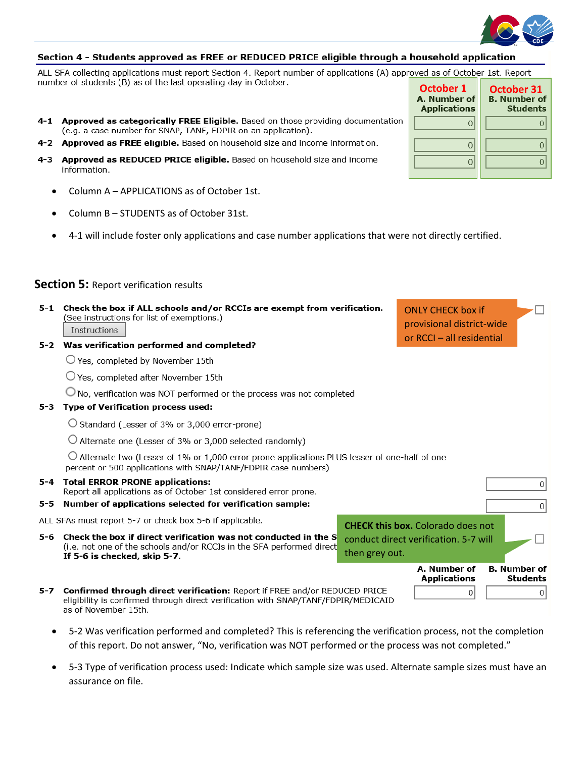

#### Section 4 - Students approved as FREE or REDUCED PRICE eligible through a household application

ALL SFA collecting applications must report Section 4. Report number of applications (A) approved as of October 1st. Report number of students (B) as of the last operating day in October.

- 4-1 Approved as categorically FREE Eligible. Based on those providing documentation (e.g. a case number for SNAP, TANF, FDPIR on an application).
- 4-2 Approved as FREE eligible. Based on household size and income information.
- 4-3 Approved as REDUCED PRICE eligible. Based on household size and income information.
	- Column A APPLICATIONS as of October 1st.
	- Column B STUDENTS as of October 31st.
	- 4-1 will include foster only applications and case number applications that were not directly certified.

#### **Section 5: Report verification results**

| 5-1                                           | (See instructions for list of exemptions.)<br><b>Instructions</b><br>5-2 Was verification performed and completed?                                                                              | Check the box if ALL schools and/or RCCIs are exempt from verification.<br><b>ONLY CHECK box if</b><br>provisional district-wide<br>or RCCI - all residential |                                          |                                        |  |  |
|-----------------------------------------------|-------------------------------------------------------------------------------------------------------------------------------------------------------------------------------------------------|---------------------------------------------------------------------------------------------------------------------------------------------------------------|------------------------------------------|----------------------------------------|--|--|
|                                               | $\bigcirc$ Yes, completed by November 15th                                                                                                                                                      |                                                                                                                                                               |                                          |                                        |  |  |
|                                               | $\bigcirc$ Yes, completed after November 15th                                                                                                                                                   |                                                                                                                                                               |                                          |                                        |  |  |
|                                               | $\bigcirc$ No, verification was NOT performed or the process was not completed                                                                                                                  |                                                                                                                                                               |                                          |                                        |  |  |
| Type of Verification process used:<br>$5 - 3$ |                                                                                                                                                                                                 |                                                                                                                                                               |                                          |                                        |  |  |
|                                               | $\bigcirc$ Standard (Lesser of 3% or 3,000 error-prone)                                                                                                                                         |                                                                                                                                                               |                                          |                                        |  |  |
|                                               | $\cup$ Alternate one (Lesser of 3% or 3,000 selected randomly)                                                                                                                                  |                                                                                                                                                               |                                          |                                        |  |  |
|                                               | $\bigcirc$ Alternate two (Lesser of 1% or 1,000 error prone applications PLUS lesser of one-half of one<br>percent or 500 applications with SNAP/TANF/FDPIR case numbers)                       |                                                                                                                                                               |                                          |                                        |  |  |
|                                               | 5-4 Total ERROR PRONE applications:<br>Report all applications as of October 1st considered error prone.                                                                                        |                                                                                                                                                               |                                          | 0                                      |  |  |
| 5-5                                           | Number of applications selected for verification sample:                                                                                                                                        |                                                                                                                                                               |                                          | 0                                      |  |  |
|                                               | ALL SFAs must report 5-7 or check box 5-6 if applicable.                                                                                                                                        |                                                                                                                                                               | <b>CHECK this box.</b> Colorado does not |                                        |  |  |
| 5-6                                           | Check the box if direct verification was not conducted in the S                                                                                                                                 |                                                                                                                                                               | conduct direct verification. 5-7 will    |                                        |  |  |
|                                               | (i.e. not one of the schools and/or RCCIs in the SFA performed direct<br>then grey out.<br>If 5-6 is checked, skip 5-7.                                                                         |                                                                                                                                                               |                                          |                                        |  |  |
|                                               |                                                                                                                                                                                                 |                                                                                                                                                               | A. Number of<br><b>Applications</b>      | <b>B.</b> Number of<br><b>Students</b> |  |  |
| 5-7                                           | <b>Confirmed through direct verification:</b> Report if FREE and/or REDUCED PRICE<br>eligibility is confirmed through direct verification with SNAP/TANF/FDPIR/MEDICAID<br>as of November 15th. |                                                                                                                                                               | 0                                        | 0                                      |  |  |

- 
- 5-2 Was verification performed and completed? This is referencing the verification process, not the completion of this report. Do not answer, "No, verification was NOT performed or the process was not completed."
- 5-3 Type of verification process used: Indicate which sample size was used. Alternate sample sizes must have an assurance on file.

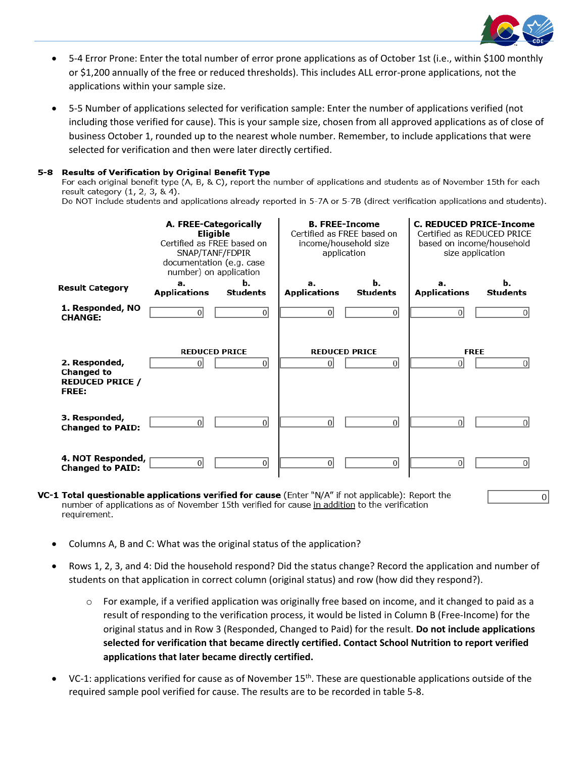

- 5-4 Error Prone: Enter the total number of error prone applications as of October 1st (i.e., within \$100 monthly or \$1,200 annually of the free or reduced thresholds). This includes ALL error-prone applications, not the applications within your sample size.
- 5-5 Number of applications selected for verification sample: Enter the number of applications verified (not including those verified for cause). This is your sample size, chosen from all approved applications as of close of business October 1, rounded up to the nearest whole number. Remember, to include applications that were selected for verification and then were later directly certified.

#### 5-8 **Results of Verification by Original Benefit Type**

For each original benefit type (A, B, & C), report the number of applications and students as of November 15th for each result category  $(1, 2, 3, 8, 4)$ .

Do NOT include students and applications already reported in 5-7A or 5-7B (direct verification applications and students).



- number of applications as of November 15th verified for cause in addition to the verification requirement.
- Columns A, B and C: What was the original status of the application?
- Rows 1, 2, 3, and 4: Did the household respond? Did the status change? Record the application and number of students on that application in correct column (original status) and row (how did they respond?).
	- $\circ$  For example, if a verified application was originally free based on income, and it changed to paid as a result of responding to the verification process, it would be listed in Column B (Free-Income) for the original status and in Row 3 (Responded, Changed to Paid) for the result. **Do not include applications selected for verification that became directly certified. Contact School Nutrition to report verified applications that later became directly certified.**
- VC-1: applications verified for cause as of November 15<sup>th</sup>. These are questionable applications outside of the required sample pool verified for cause. The results are to be recorded in table 5-8.